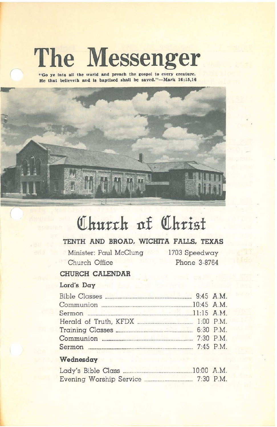# **The Messenger**

**"Go ye Into all the world and preach the gospel to every creature. He that believeth and II baptlzed lIhall be aaved."-Mark 16;16,16**



# Church at Christ

# **TENTH AND BROAD, WICHITA FALLS, TEXAS**

Minister: Paul McClung Church Office

1703 Speedway Phone 3-8764

## **CHURCH CALENDAR**

### **Lord's Day**

| Communion 2008 20145 A.M.   |  |
|-----------------------------|--|
| Sermon 2016 2017 11:15 A.M. |  |
|                             |  |
|                             |  |
|                             |  |
|                             |  |

#### **Wednesday**

| Lady's Bible Class      |  |  | $10:00$ A.M. |
|-------------------------|--|--|--------------|
| Evening Worship Service |  |  | $7:30$ P.M.  |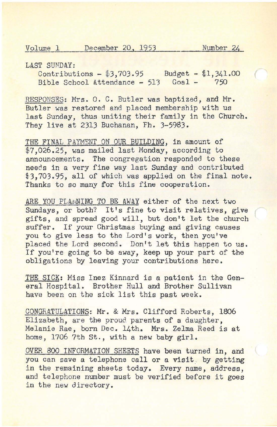$\left($ 

LAST SUNDAY:

Contributions - \$3,703.95 Budget - \$1,341.00 Bible School Attendance - 513 Goal - 750

RESPONSES: Mrs. O. C. Butler was baptized, and Mr. Butler was restored and placed membership with us last Sunday, thus uniting their family in the Church. They live at 2313 Buchanan, Fh. 3-5983.

THE FINAL PAYMENT ON OUR BUILDING, in amount of \$7,026.25, was mailed last Monday, according to announcements. The congregation responded to these needs in a very fine way last Sunday and contributed \$3.703.95, all of which was applied on the final note. Thanks to so many for this fine cooperation.

ARE YOU PLANNING TO BE AWAY either of the next two Sundays, or both? It's fine to visit relatives, give gifts, and spread good Will, but don't let the church suffer. If your Christmas buying and giving causes you to give less to the Lord's work, then you've placed the Lord second. Don't let this happen to us. If you're going to be away, keep up your part of the obligations by leaving your contributions here.

THE SICK: Miss Inez Kinnard is a patient in the General Hospital. Brother Hull and Brother Sullivan have been on the sick list this past week.

CONGRATULATIONS: Mr. & Mrs. Clifford Roberts, 1806 Elizabeth, are the proud parents of a daughter, Melanie Rae, born Dec. 14th. Mrs. Zelma Reed is at home, 1706 7th St., with a new baby girl.

OVER 800 INFORMATION SHEETS have been turned in, and you can save a telephone call or a visit by getting in the remaining sheets today. Every name, address, and telephone number must be verified before it goes in the new directory.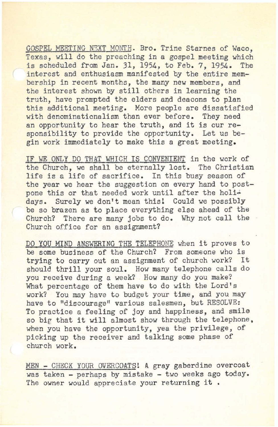GOSPEL MEETING NEXT MONTH. Bro. Trine Starnes of Waco, Texas, will do the preaching in a gospel meeting which<br>is scheduled from Jan. 31, 1954, to Feb. 7, 1954, The is scheduled from Jan. 31, 1954, to Feb. 7, 1954. interest and enthusiasm manifested by the entire membership in recent months, the many new members, and the interest shown by still others in learning the truth, have prompted the elders and deacons to plan this additional meeting. More people are dissatisfied with denominationalism than ever before. They need an opportunity to hear the truth, and it is our responsibility to provide the opportunity. Let us begin work immediately to make this a great meeting.

IF WE ONLY DO THaT WHICH IS CONVENIENT in the work of the Church, we shall be eternally lost. The Christian life is a life of sacrifice. In this busy season of the year we hear the suggestion on every hand to postpone this or that needed work until after the holidays. Surely we don't mean this! Could we possibly be so brazen as to place everything else ahead of the Church? There are many jobs to do. Why not call the Church office for an assignment?

DO YOU MIND ANSWERING THE TELEPHONE when it proves to be some business of the Church? From someone who is<br>trying to carry out an assignment of church work? It trying to carry out an assignment of church work? should thrill your soul. How many telephone calls do you receive during a week? How many do you make? What percentage of them have to do with the Lord's work? You may have to budget your time, and you may have to "discourage" various salesmen, but RESOLVE: To practice a feeling of joy and happiness, and smile so big that it will almost show through the telephone, when you have the opportunity, yea the privilege, of picking up the receiver and talking some phase of church work.

MEN - CHECK YOUR OVERCOATS! A gray gaberdine overcoat was taken - perhaps by mistake - two weeks ago today. The owner would appreciate your returning it.